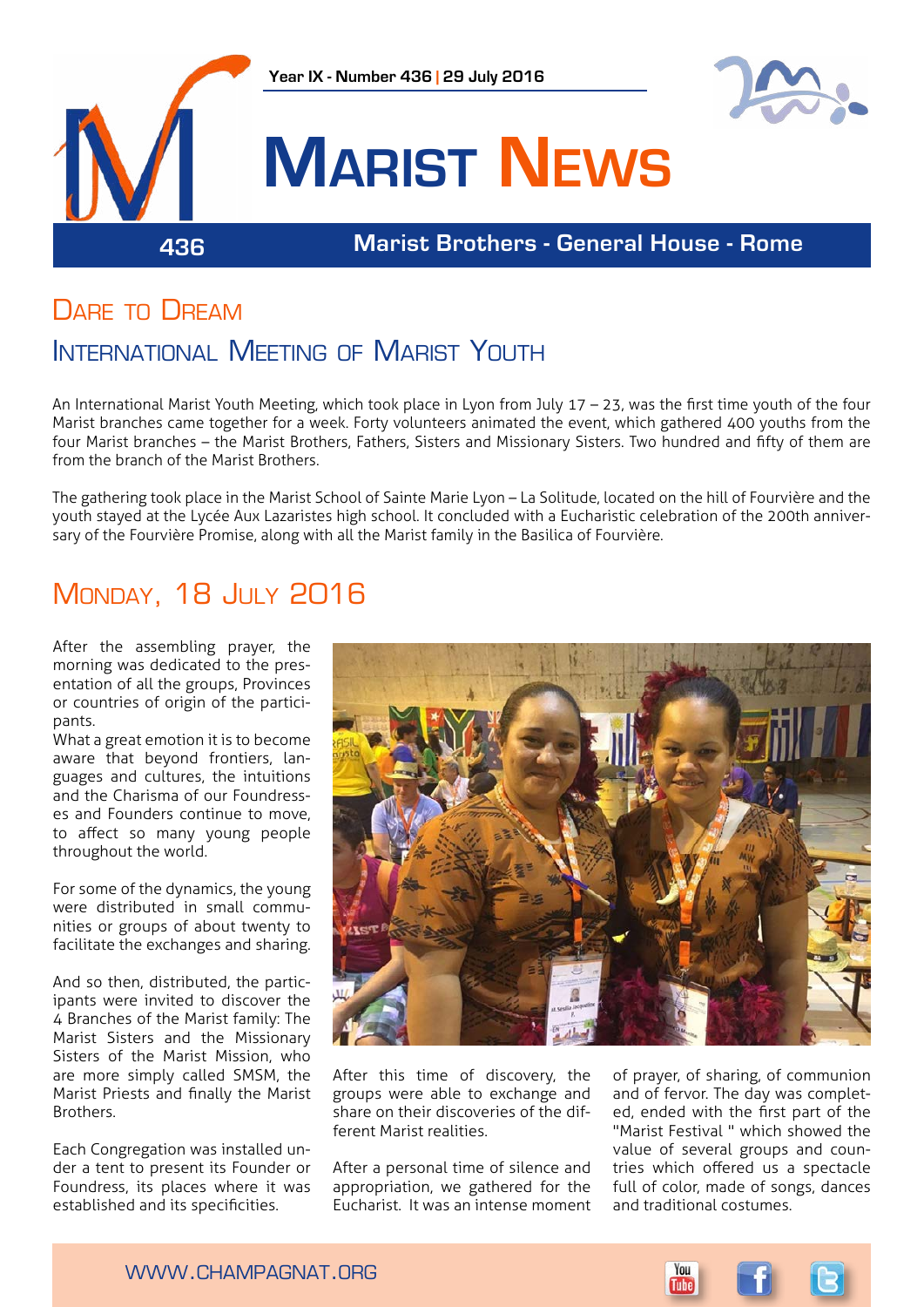

## DARE TO DREAM

## INTERNATIONAL MEETING OF MARIST YOUTH

An International Marist Youth Meeting, which took place in Lyon from July 17 – 23, was the first time youth of the four Marist branches came together for a week. Forty volunteers animated the event, which gathered 400 youths from the four Marist branches – the Marist Brothers, Fathers, Sisters and Missionary Sisters. Two hundred and fifty of them are from the branch of the Marist Brothers.

The gathering took place in the Marist School of Sainte Marie Lyon – La Solitude, located on the hill of Fourvière and the youth stayed at the Lycée Aux Lazaristes high school. It concluded with a Eucharistic celebration of the 200th anniversary of the Fourvière Promise, along with all the Marist family in the Basilica of Fourvière.

# **MONDAY, 18 JULY 2016**

After the assembling prayer, the morning was dedicated to the presentation of all the groups, Provinces or countries of origin of the participants.

What a great emotion it is to become aware that beyond frontiers, languages and cultures, the intuitions and the Charisma of our Foundresses and Founders continue to move, to affect so many young people throughout the world.

For some of the dynamics, the young were distributed in small communities or groups of about twenty to facilitate the exchanges and sharing.

And so then, distributed, the participants were invited to discover the 4 Branches of the Marist family: The Marist Sisters and the Missionary Sisters of the Marist Mission, who are more simply called SMSM, the Marist Priests and finally the Marist Brothers.

Each Congregation was installed under a tent to present its Founder or Foundress, its places where it was established and its specificities.



After this time of discovery, the groups were able to exchange and share on their discoveries of the different Marist realities.

After a personal time of silence and appropriation, we gathered for the Eucharist. It was an intense moment

of prayer, of sharing, of communion and of fervor. The day was completed, ended with the first part of the "Marist Festival " which showed the value of several groups and countries which offered us a spectacle full of color, made of songs, dances and traditional costumes.

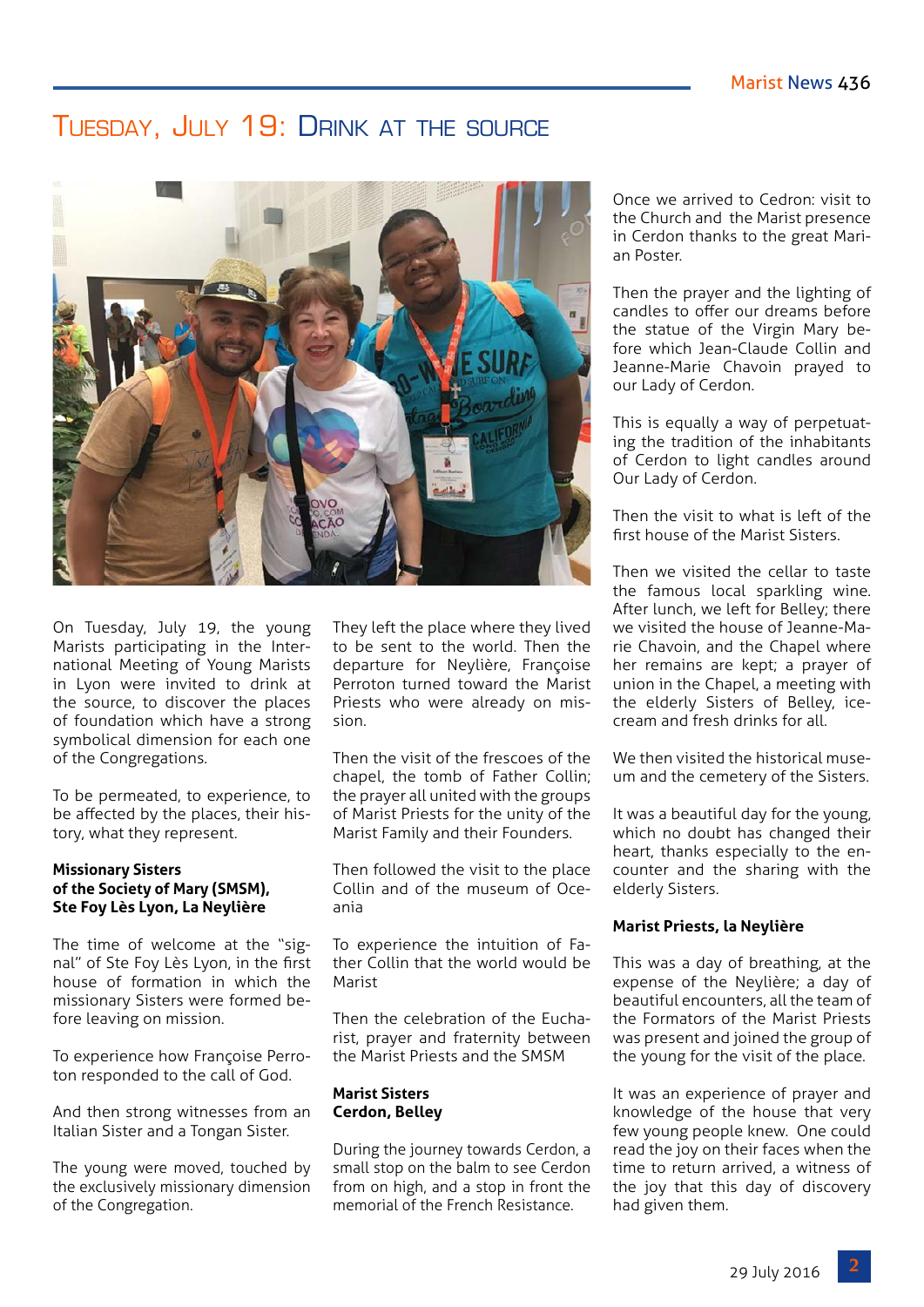## Tuesday, July 19: Drink at the source



On Tuesday, July 19, the young Marists participating in the International Meeting of Young Marists in Lyon were invited to drink at the source, to discover the places of foundation which have a strong symbolical dimension for each one of the Congregations.

To be permeated, to experience, to be affected by the places, their history, what they represent.

#### **Missionary Sisters of the Society of Mary (SMSM), Ste Foy Lès Lyon, La Neylière**

The time of welcome at the "signal" of Ste Foy Lès Lyon, in the first house of formation in which the missionary Sisters were formed before leaving on mission.

To experience how Françoise Perroton responded to the call of God.

And then strong witnesses from an Italian Sister and a Tongan Sister.

The young were moved, touched by the exclusively missionary dimension of the Congregation.

They left the place where they lived to be sent to the world. Then the departure for Neylière, Françoise Perroton turned toward the Marist Priests who were already on mission.

Then the visit of the frescoes of the chapel, the tomb of Father Collin; the prayer all united with the groups of Marist Priests for the unity of the Marist Family and their Founders.

Then followed the visit to the place Collin and of the museum of Oceania

To experience the intuition of Father Collin that the world would be Marist

Then the celebration of the Eucharist, prayer and fraternity between the Marist Priests and the SMSM

### **Marist Sisters Cerdon, Belley**

During the journey towards Cerdon, a small stop on the balm to see Cerdon from on high, and a stop in front the memorial of the French Resistance.

Once we arrived to Cedron: visit to the Church and the Marist presence in Cerdon thanks to the great Marian Poster.

Then the prayer and the lighting of candles to offer our dreams before the statue of the Virgin Mary before which Jean-Claude Collin and Jeanne-Marie Chavoin prayed to our Lady of Cerdon.

This is equally a way of perpetuating the tradition of the inhabitants of Cerdon to light candles around Our Lady of Cerdon.

Then the visit to what is left of the first house of the Marist Sisters.

Then we visited the cellar to taste the famous local sparkling wine. After lunch, we left for Belley; there we visited the house of Jeanne-Marie Chavoin, and the Chapel where her remains are kept; a prayer of union in the Chapel, a meeting with the elderly Sisters of Belley, icecream and fresh drinks for all.

We then visited the historical museum and the cemetery of the Sisters.

It was a beautiful day for the young, which no doubt has changed their heart, thanks especially to the encounter and the sharing with the elderly Sisters.

## **Marist Priests, la Neylière**

This was a day of breathing, at the expense of the Neylière; a day of beautiful encounters, all the team of the Formators of the Marist Priests was present and joined the group of the young for the visit of the place.

It was an experience of prayer and knowledge of the house that very few young people knew. One could read the joy on their faces when the time to return arrived, a witness of the joy that this day of discovery had given them.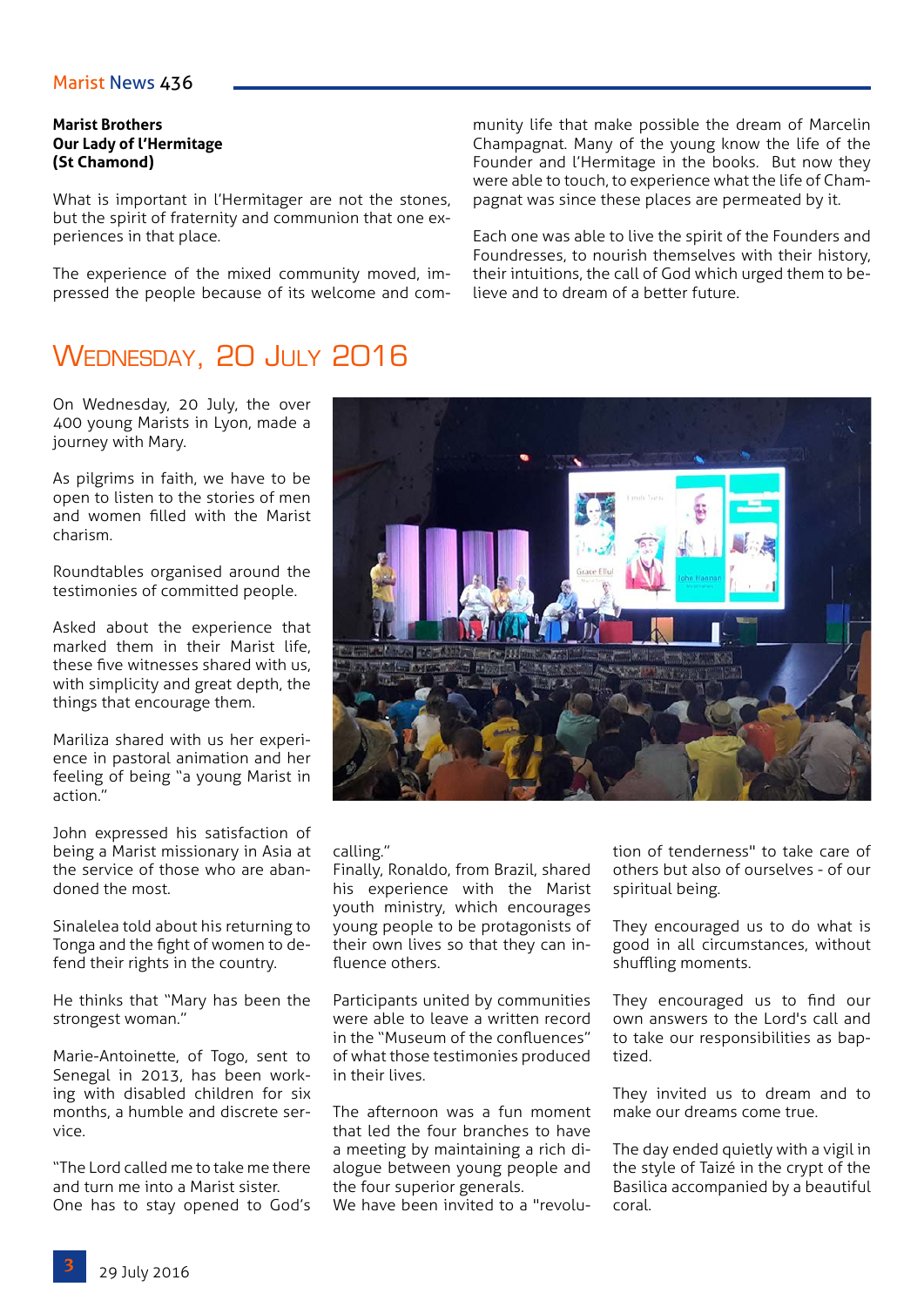## Marist News 436

### **Marist Brothers Our Lady of l'Hermitage (St Chamond)**

What is important in l'Hermitager are not the stones, but the spirit of fraternity and communion that one experiences in that place.

The experience of the mixed community moved, impressed the people because of its welcome and com-

# WEDNESDAY, 20 JULY 2016

On Wednesday, 20 July, the over 400 young Marists in Lyon, made a journey with Mary.

As pilgrims in faith, we have to be open to listen to the stories of men and women filled with the Marist charism.

Roundtables organised around the testimonies of committed people.

Asked about the experience that marked them in their Marist life, these five witnesses shared with us, with simplicity and great depth, the things that encourage them.

Mariliza shared with us her experience in pastoral animation and her feeling of being "a young Marist in action."

John expressed his satisfaction of being a Marist missionary in Asia at the service of those who are abandoned the most.

Sinalelea told about his returning to Tonga and the fight of women to defend their rights in the country.

He thinks that "Mary has been the strongest woman."

Marie-Antoinette, of Togo, sent to Senegal in 2013, has been working with disabled children for six months, a humble and discrete service.

"The Lord called me to take me there and turn me into a Marist sister. One has to stay opened to God's munity life that make possible the dream of Marcelin Champagnat. Many of the young know the life of the Founder and l'Hermitage in the books. But now they were able to touch, to experience what the life of Champagnat was since these places are permeated by it.

Each one was able to live the spirit of the Founders and Foundresses, to nourish themselves with their history, their intuitions, the call of God which urged them to believe and to dream of a better future.



calling."

Finally, Ronaldo, from Brazil, shared his experience with the Marist youth ministry, which encourages young people to be protagonists of their own lives so that they can influence others.

Participants united by communities were able to leave a written record in the "Museum of the confluences" of what those testimonies produced in their lives.

The afternoon was a fun moment that led the four branches to have a meeting by maintaining a rich dialogue between young people and the four superior generals. We have been invited to a "revolution of tenderness" to take care of others but also of ourselves - of our spiritual being.

They encouraged us to do what is good in all circumstances, without shuffling moments.

They encouraged us to find our own answers to the Lord's call and to take our responsibilities as baptized.

They invited us to dream and to make our dreams come true.

The day ended quietly with a vigil in the style of Taizé in the crypt of the Basilica accompanied by a beautiful coral.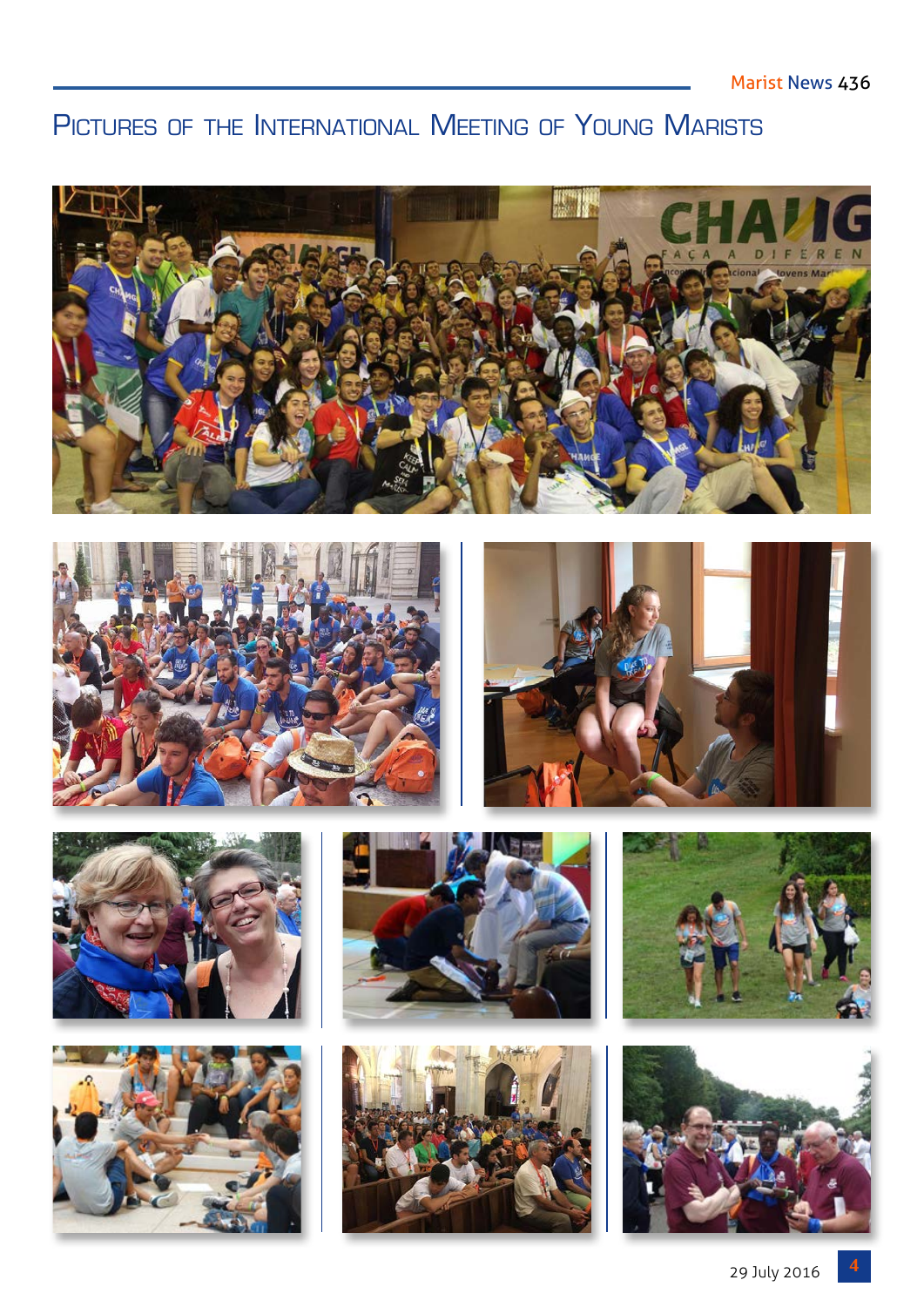# PICTURES OF THE INTERNATIONAL MEETING OF YOUNG MARISTS

















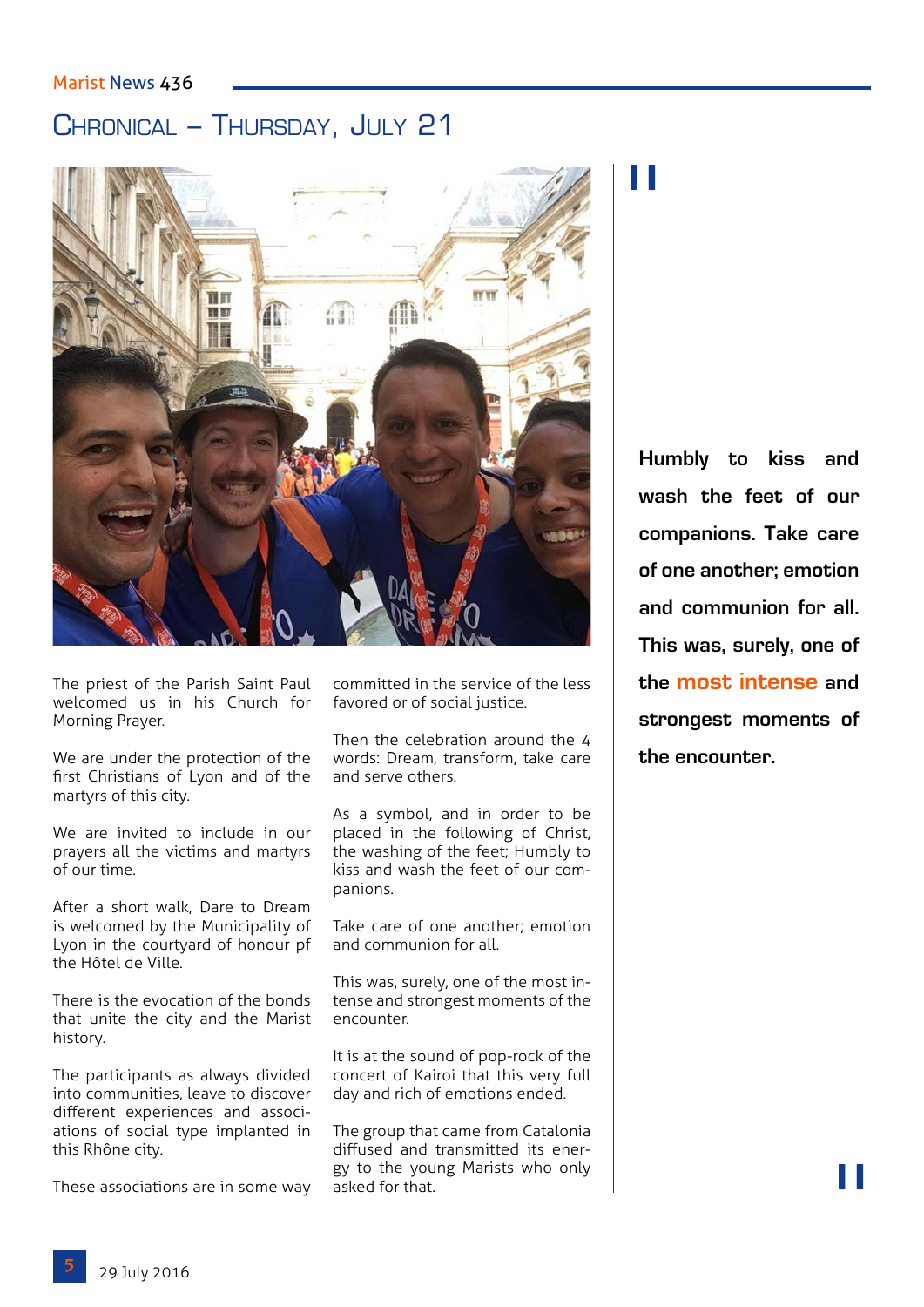## Marist News 436

# Chronical – Thursday, July 21



The priest of the Parish Saint Paul welcomed us in his Church for Morning Prayer.

We are under the protection of the first Christians of Lyon and of the martyrs of this city.

We are invited to include in our prayers all the victims and martyrs of our time.

After a short walk, Dare to Dream is welcomed by the Municipality of Lyon in the courtyard of honour pf the Hôtel de Ville.

There is the evocation of the bonds that unite the city and the Marist history.

The participants as always divided into communities, leave to discover different experiences and associations of social type implanted in this Rhône city.

These associations are in some way

committed in the service of the less favored or of social justice.

Then the celebration around the 4 words: Dream, transform, take care and serve others.

As a symbol, and in order to be placed in the following of Christ, the washing of the feet; Humbly to kiss and wash the feet of our companions.

Take care of one another; emotion and communion for all.

This was, surely, one of the most intense and strongest moments of the encounter.

It is at the sound of pop-rock of the concert of Kairoi that this very full day and rich of emotions ended.

The group that came from Catalonia diffused and transmitted its energy to the young Marists who only asked for that.

# "

**Humbly to kiss and wash the feet of our companions. Take care of one another; emotion and communion for all. This was, surely, one of the most intense and strongest moments of the encounter.**